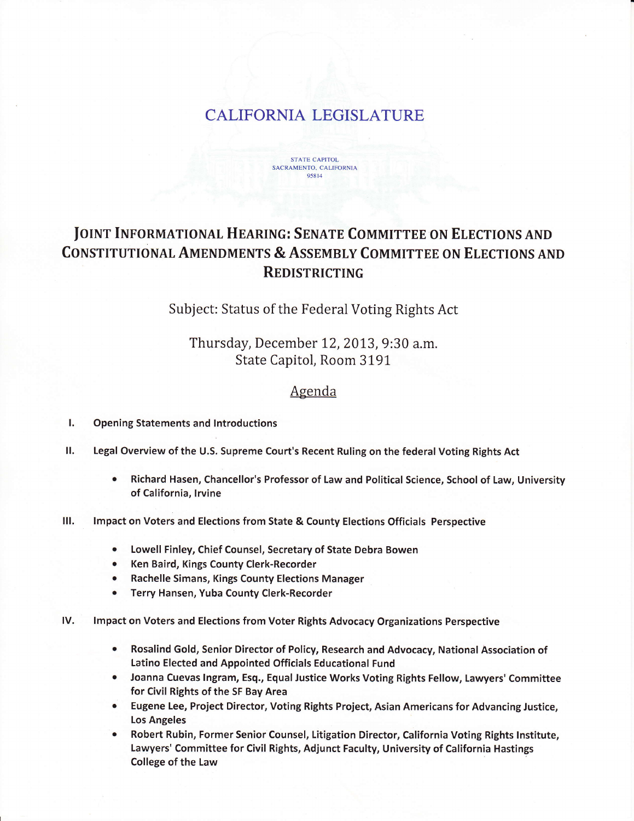## **CALIFORNIA LEGISLATURE**



## **JOINT INFORMATIONAL HEARING: SENATE COMMITTEE ON ELECTIONS AND CONSTITUTIONAL AMENDMENTS & ASSEMBLY COMMITTEE ON ELECTIONS AND REDISTRICTING**

Subject: Status of the Federal Voting Rights Act

Thursday, December 12, 2013, 9:30 a.m. State Capitol, Room 3191

## Agenda

- L **Opening Statements and Introductions**
- П. Legal Overview of the U.S. Supreme Court's Recent Ruling on the federal Voting Rights Act
	- $\bullet$ Richard Hasen, Chancellor's Professor of Law and Political Science, School of Law, University of California. Irvine
- Ш. Impact on Voters and Elections from State & County Elections Officials Perspective
	- Lowell Finley, Chief Counsel, Secretary of State Debra Bowen  $\bullet$
	- $\bullet$ Ken Baird, Kings County Clerk-Recorder
	- **Rachelle Simans, Kings County Elections Manager**
	- Terry Hansen, Yuba County Clerk-Recorder
- IV. Impact on Voters and Elections from Voter Rights Advocacy Organizations Perspective
	- Rosalind Gold, Senior Director of Policy, Research and Advocacy, National Association of  $\bullet$ Latino Elected and Appointed Officials Educational Fund
	- Joanna Cuevas Ingram, Esq., Equal Justice Works Voting Rights Fellow, Lawyers' Committee  $\bullet$ for Civil Rights of the SF Bay Area
	- Eugene Lee, Project Director, Voting Rights Project, Asian Americans for Advancing Justice, **Los Angeles**
	- Robert Rubin, Former Senior Counsel, Litigation Director, California Voting Rights Institute,  $\bullet$ Lawyers' Committee for Civil Rights, Adjunct Faculty, University of California Hastings College of the Law